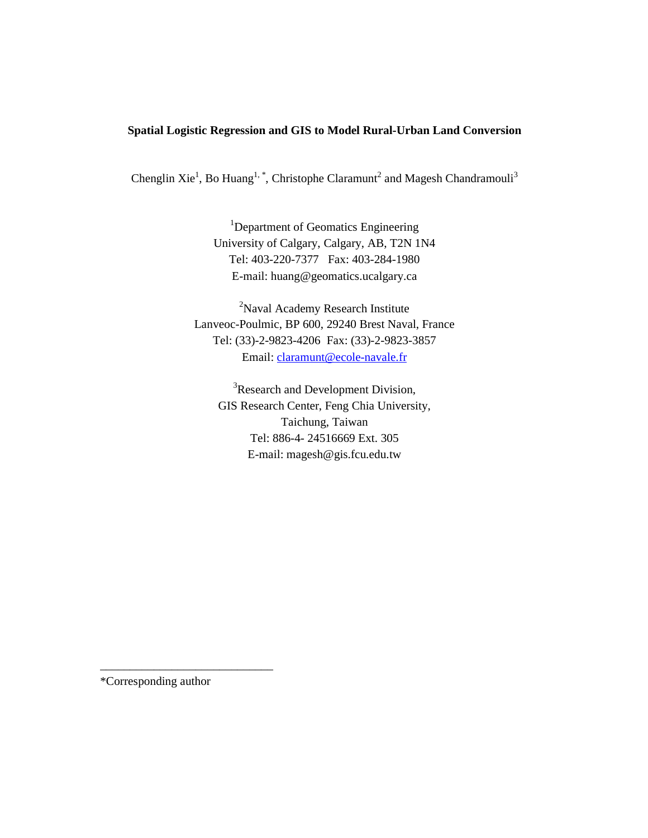# **Spatial Logistic Regression and GIS to Model Rural-Urban Land Conversion**

Chenglin Xie<sup>1</sup>, Bo Huang<sup>1, \*</sup>, Christophe Claramunt<sup>2</sup> and Magesh Chandramouli<sup>3</sup>

<sup>1</sup>Department of Geomatics Engineering University of Calgary, Calgary, AB, T2N 1N4 Tel: 403-220-7377 Fax: 403-284-1980 E-mail: huang@geomatics.ucalgary.ca

<sup>2</sup>Naval Academy Research Institute Lanveoc-Poulmic, BP 600, 29240 Brest Naval, France Tel: (33)-2-9823-4206 Fax: (33)-2-9823-3857 Email: claramunt@ecole-navale.fr

<sup>3</sup>Research and Development Division, GIS Research Center, Feng Chia University, Taichung, Taiwan Tel: 886-4- 24516669 Ext. 305 E-mail: magesh@gis.fcu.edu.tw

\*Corresponding author

\_\_\_\_\_\_\_\_\_\_\_\_\_\_\_\_\_\_\_\_\_\_\_\_\_\_\_\_\_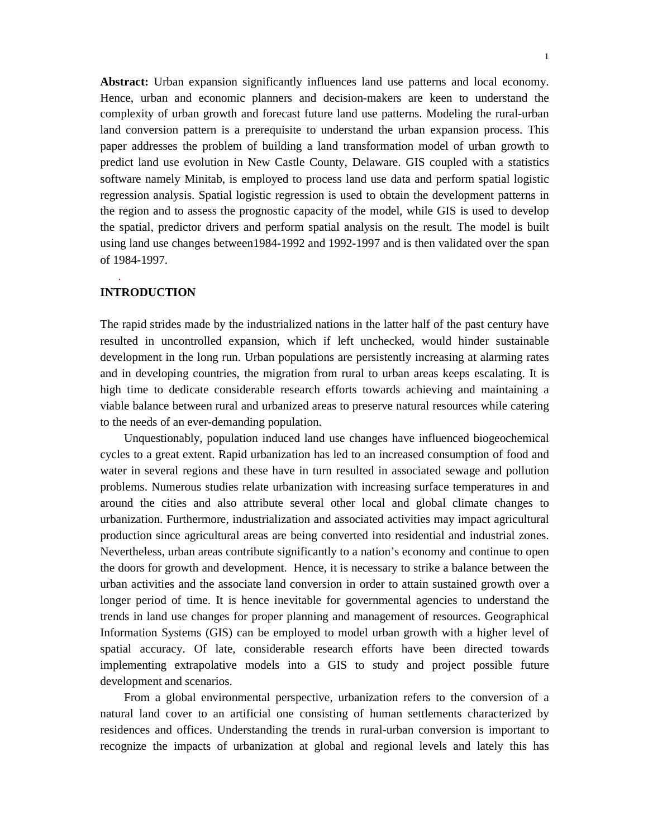Abstract: Urban expansion significantly influences land use patterns and local economy. Hence, urban and economic planners and decision-makers are keen to understand the complexity of urban growth and forecast future land use patterns. Modeling the rural-urban land conversion pattern is a prerequisite to understand the urban expansion process. This paper addresses the problem of building a land transformation model of urban growth to predict land use evolution in New Castle County, Delaware. GIS coupled with a statistics software namely Minitab, is employed to process land use data and perform spatial logistic regression analysis. Spatial logistic regression is used to obtain the development patterns in the region and to assess the prognostic capacity of the model, while GIS is used to develop the spatial, predictor drivers and perform spatial analysis on the result. The model is built using land use changes between1984-1992 and 1992-1997 and is then validated over the span of 1984-1997.

#### **INTRODUCTION**

.

The rapid strides made by the industrialized nations in the latter half of the past century have resulted in uncontrolled expansion, which if left unchecked, would hinder sustainable development in the long run. Urban populations are persistently increasing at alarming rates and in developing countries, the migration from rural to urban areas keeps escalating. It is high time to dedicate considerable research efforts towards achieving and maintaining a viable balance between rural and urbanized areas to preserve natural resources while catering to the needs of an ever-demanding population.

Unquestionably, population induced land use changes have influenced biogeochemical cycles to a great extent. Rapid urbanization has led to an increased consumption of food and water in several regions and these have in turn resulted in associated sewage and pollution problems. Numerous studies relate urbanization with increasing surface temperatures in and around the cities and also attribute several other local and global climate changes to urbanization. Furthermore, industrialization and associated activities may impact agricultural production since agricultural areas are being converted into residential and industrial zones. Nevertheless, urban areas contribute significantly to a nation's economy and continue to open the doors for growth and development. Hence, it is necessary to strike a balance between the urban activities and the associate land conversion in order to attain sustained growth over a longer period of time. It is hence inevitable for governmental agencies to understand the trends in land use changes for proper planning and management of resources. Geographical Information Systems (GIS) can be employed to model urban growth with a higher level of spatial accuracy. Of late, considerable research efforts have been directed towards implementing extrapolative models into a GIS to study and project possible future development and scenarios.

From a global environmental perspective, urbanization refers to the conversion of a natural land cover to an artificial one consisting of human settlements characterized by residences and offices. Understanding the trends in rural-urban conversion is important to recognize the impacts of urbanization at global and regional levels and lately this has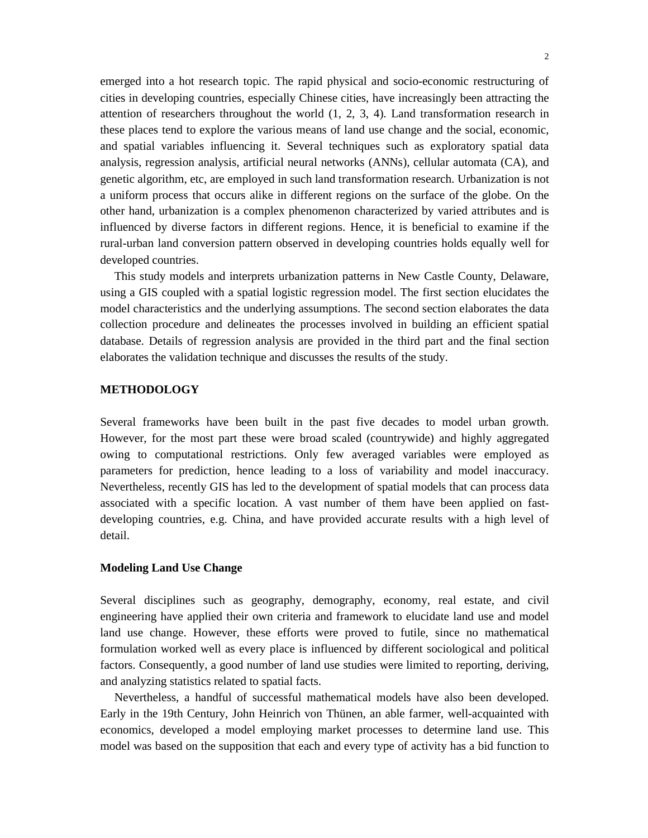emerged into a hot research topic. The rapid physical and socio-economic restructuring of cities in developing countries, especially Chinese cities, have increasingly been attracting the attention of researchers throughout the world (1, 2, 3, 4). Land transformation research in these places tend to explore the various means of land use change and the social, economic, and spatial variables influencing it. Several techniques such as exploratory spatial data analysis, regression analysis, artificial neural networks (ANNs), cellular automata (CA), and genetic algorithm, etc, are employed in such land transformation research. Urbanization is not a uniform process that occurs alike in different regions on the surface of the globe. On the other hand, urbanization is a complex phenomenon characterized by varied attributes and is influenced by diverse factors in different regions. Hence, it is beneficial to examine if the rural-urban land conversion pattern observed in developing countries holds equally well for developed countries.

This study models and interprets urbanization patterns in New Castle County, Delaware, using a GIS coupled with a spatial logistic regression model. The first section elucidates the model characteristics and the underlying assumptions. The second section elaborates the data collection procedure and delineates the processes involved in building an efficient spatial database. Details of regression analysis are provided in the third part and the final section elaborates the validation technique and discusses the results of the study.

## **METHODOLOGY**

Several frameworks have been built in the past five decades to model urban growth. However, for the most part these were broad scaled (countrywide) and highly aggregated owing to computational restrictions. Only few averaged variables were employed as parameters for prediction, hence leading to a loss of variability and model inaccuracy. Nevertheless, recently GIS has led to the development of spatial models that can process data associated with a specific location. A vast number of them have been applied on fastdeveloping countries, e.g. China, and have provided accurate results with a high level of detail.

## **Modeling Land Use Change**

Several disciplines such as geography, demography, economy, real estate, and civil engineering have applied their own criteria and framework to elucidate land use and model land use change. However, these efforts were proved to futile, since no mathematical formulation worked well as every place is influenced by different sociological and political factors. Consequently, a good number of land use studies were limited to reporting, deriving, and analyzing statistics related to spatial facts.

Nevertheless, a handful of successful mathematical models have also been developed. Early in the 19th Century, John Heinrich von Thünen, an able farmer, well-acquainted with economics, developed a model employing market processes to determine land use. This model was based on the supposition that each and every type of activity has a bid function to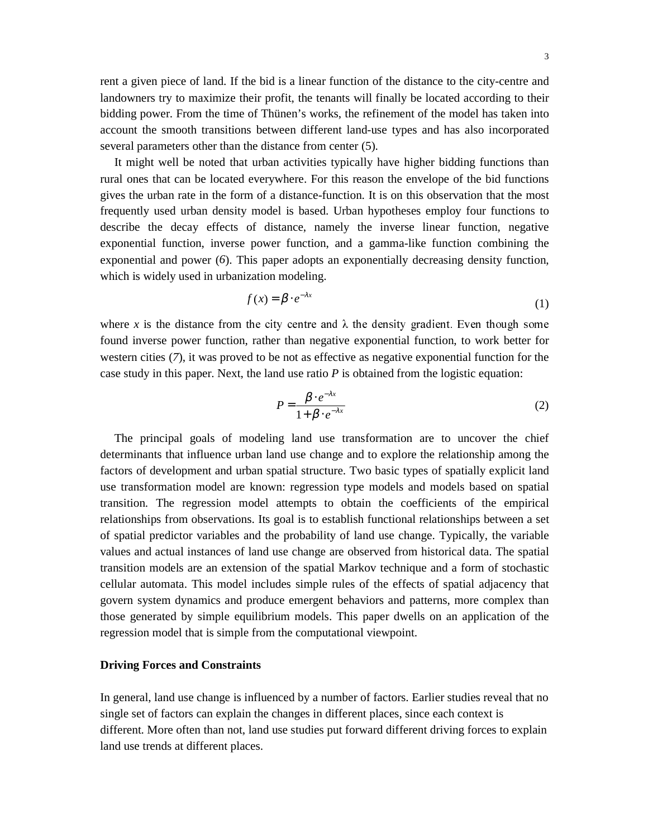rent a given piece of land. If the bid is a linear function of the distance to the city-centre and landowners try to maximize their profit, the tenants will finally be located according to their bidding power. From the time of Thünen's works, the refinement of the model has taken into account the smooth transitions between different land-use types and has also incorporated several parameters other than the distance from center (5).

It might well be noted that urban activities typically have higher bidding functions than rural ones that can be located everywhere. For this reason the envelope of the bid functions gives the urban rate in the form of a distance-function. It is on this observation that the most frequently used urban density model is based. Urban hypotheses employ four functions to describe the decay effects of distance, namely the inverse linear function, negative exponential function, inverse power function, and a gamma-like function combining the exponential and power (*6*). This paper adopts an exponentially decreasing density function, which is widely used in urbanization modeling.

$$
f(x) = \beta \cdot e^{-\lambda x} \tag{1}
$$

where x is the distance from the city centre and  $\lambda$  the density gradient. Even though some found inverse power function, rather than negative exponential function, to work better for western cities (*7*), it was proved to be not as effective as negative exponential function for the case study in this paper. Next, the land use ratio *P* is obtained from the logistic equation:

$$
P = \frac{\beta \cdot e^{-\lambda x}}{1 + \beta \cdot e^{-\lambda x}}
$$
 (2)

The principal goals of modeling land use transformation are to uncover the chief determinants that influence urban land use change and to explore the relationship among the factors of development and urban spatial structure. Two basic types of spatially explicit land use transformation model are known: regression type models and models based on spatial transition. The regression model attempts to obtain the coefficients of the empirical relationships from observations. Its goal is to establish functional relationships between a set of spatial predictor variables and the probability of land use change. Typically, the variable values and actual instances of land use change are observed from historical data. The spatial transition models are an extension of the spatial Markov technique and a form of stochastic cellular automata. This model includes simple rules of the effects of spatial adjacency that govern system dynamics and produce emergent behaviors and patterns, more complex than those generated by simple equilibrium models. This paper dwells on an application of the regression model that is simple from the computational viewpoint.

## **Driving Forces and Constraints**

In general, land use change is influenced by a number of factors. Earlier studies reveal that no single set of factors can explain the changes in different places, since each context is different. More often than not, land use studies put forward different driving forces to explain land use trends at different places.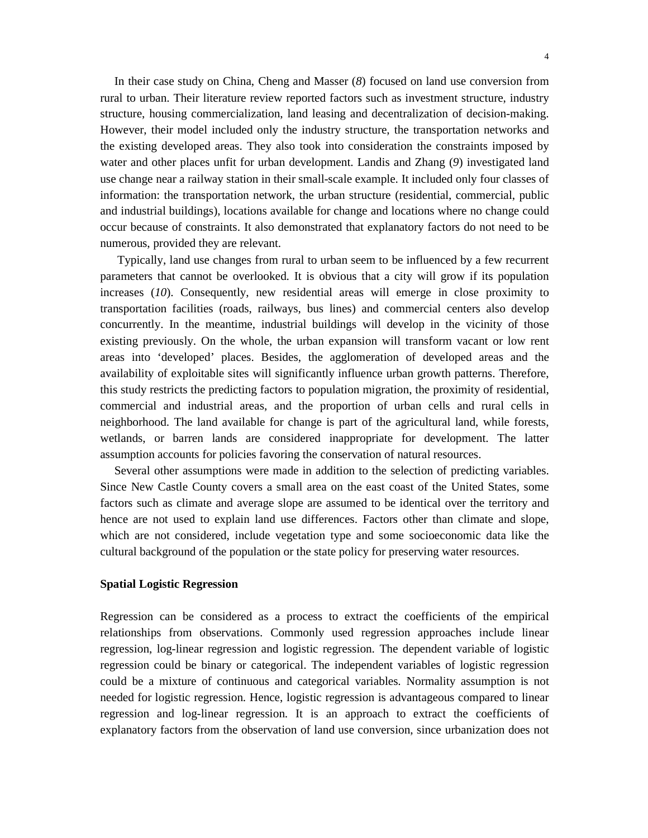In their case study on China, Cheng and Masser (*8*) focused on land use conversion from rural to urban. Their literature review reported factors such as investment structure, industry structure, housing commercialization, land leasing and decentralization of decision-making. However, their model included only the industry structure, the transportation networks and the existing developed areas. They also took into consideration the constraints imposed by water and other places unfit for urban development. Landis and Zhang (*9*) investigated land use change near a railway station in their small-scale example. It included only four classes of information: the transportation network, the urban structure (residential, commercial, public and industrial buildings), locations available for change and locations where no change could occur because of constraints. It also demonstrated that explanatory factors do not need to be numerous, provided they are relevant.

Typically, land use changes from rural to urban seem to be influenced by a few recurrent parameters that cannot be overlooked. It is obvious that a city will grow if its population increases (*10*). Consequently, new residential areas will emerge in close proximity to transportation facilities (roads, railways, bus lines) and commercial centers also develop concurrently. In the meantime, industrial buildings will develop in the vicinity of those existing previously. On the whole, the urban expansion will transform vacant or low rent areas into 'developed' places. Besides, the agglomeration of developed areas and the availability of exploitable sites will significantly influence urban growth patterns. Therefore, this study restricts the predicting factors to population migration, the proximity of residential, commercial and industrial areas, and the proportion of urban cells and rural cells in neighborhood. The land available for change is part of the agricultural land, while forests, wetlands, or barren lands are considered inappropriate for development. The latter assumption accounts for policies favoring the conservation of natural resources.

Several other assumptions were made in addition to the selection of predicting variables. Since New Castle County covers a small area on the east coast of the United States, some factors such as climate and average slope are assumed to be identical over the territory and hence are not used to explain land use differences. Factors other than climate and slope, which are not considered, include vegetation type and some socioeconomic data like the cultural background of the population or the state policy for preserving water resources.

## **Spatial Logistic Regression**

Regression can be considered as a process to extract the coefficients of the empirical relationships from observations. Commonly used regression approaches include linear regression, log-linear regression and logistic regression. The dependent variable of logistic regression could be binary or categorical. The independent variables of logistic regression could be a mixture of continuous and categorical variables. Normality assumption is not needed for logistic regression. Hence, logistic regression is advantageous compared to linear regression and log-linear regression. It is an approach to extract the coefficients of explanatory factors from the observation of land use conversion, since urbanization does not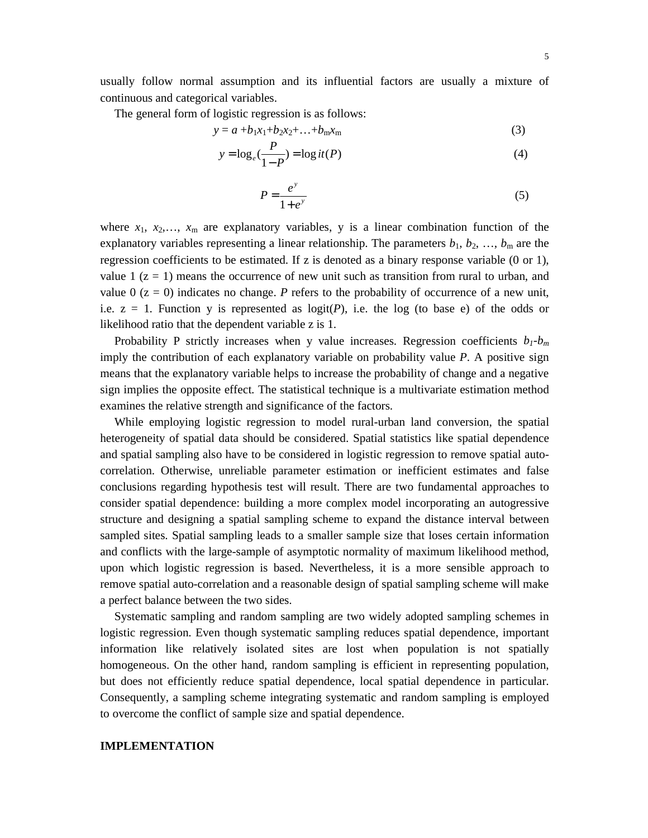usually follow normal assumption and its influential factors are usually a mixture of continuous and categorical variables.

The general form of logistic regression is as follows:

$$
y = a + b_1 x_1 + b_2 x_2 + \dots + b_m x_m
$$
 (3)

$$
y = \log_e(\frac{P}{1 - P}) = \log it(P)
$$
\n(4)

$$
P = \frac{e^y}{1 + e^y} \tag{5}
$$

where  $x_1, x_2,..., x_m$  are explanatory variables, y is a linear combination function of the explanatory variables representing a linear relationship. The parameters  $b_1, b_2, ..., b_m$  are the regression coefficients to be estimated. If z is denoted as a binary response variable (0 or 1), value 1  $(z = 1)$  means the occurrence of new unit such as transition from rural to urban, and value  $0$  ( $z = 0$ ) indicates no change. *P* refers to the probability of occurrence of a new unit, i.e.  $z = 1$ . Function y is represented as  $logit(P)$ , i.e. the log (to base e) of the odds or likelihood ratio that the dependent variable z is 1.

Probability P strictly increases when y value increases. Regression coefficients  $b_1 - b_m$ imply the contribution of each explanatory variable on probability value *P*. A positive sign means that the explanatory variable helps to increase the probability of change and a negative sign implies the opposite effect. The statistical technique is a multivariate estimation method examines the relative strength and significance of the factors.

While employing logistic regression to model rural-urban land conversion, the spatial heterogeneity of spatial data should be considered. Spatial statistics like spatial dependence and spatial sampling also have to be considered in logistic regression to remove spatial autocorrelation. Otherwise, unreliable parameter estimation or inefficient estimates and false conclusions regarding hypothesis test will result. There are two fundamental approaches to consider spatial dependence: building a more complex model incorporating an autogressive structure and designing a spatial sampling scheme to expand the distance interval between sampled sites. Spatial sampling leads to a smaller sample size that loses certain information and conflicts with the large-sample of asymptotic normality of maximum likelihood method, upon which logistic regression is based. Nevertheless, it is a more sensible approach to remove spatial auto-correlation and a reasonable design of spatial sampling scheme will make a perfect balance between the two sides.

Systematic sampling and random sampling are two widely adopted sampling schemes in logistic regression. Even though systematic sampling reduces spatial dependence, important information like relatively isolated sites are lost when population is not spatially homogeneous. On the other hand, random sampling is efficient in representing population, but does not efficiently reduce spatial dependence, local spatial dependence in particular. Consequently, a sampling scheme integrating systematic and random sampling is employed to overcome the conflict of sample size and spatial dependence.

#### **IMPLEMENTATION**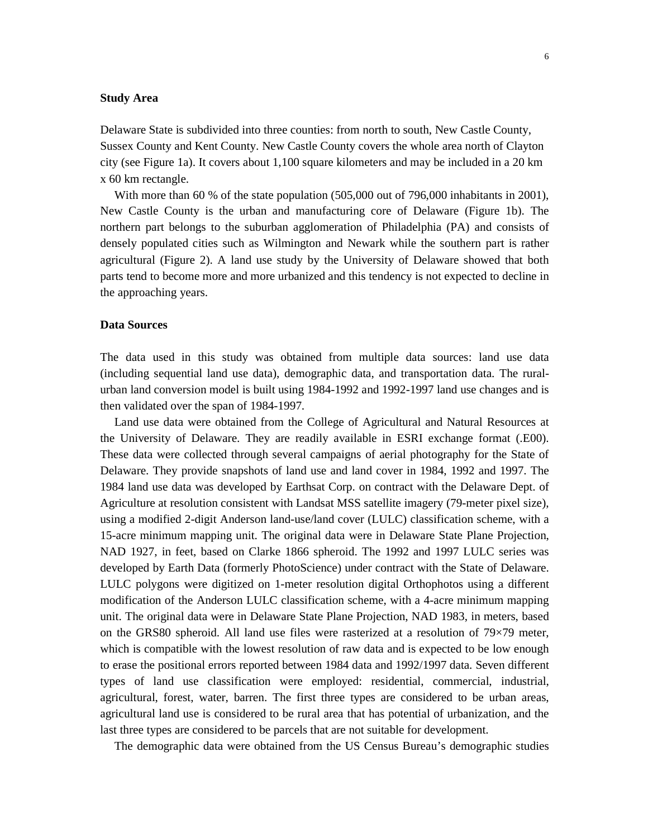## **Study Area**

Delaware State is subdivided into three counties: from north to south, New Castle County, Sussex County and Kent County. New Castle County covers the whole area north of Clayton city (see Figure 1a). It covers about 1,100 square kilometers and may be included in a 20 km x 60 km rectangle.

With more than 60 % of the state population (505,000 out of 796,000 inhabitants in 2001), New Castle County is the urban and manufacturing core of Delaware (Figure 1b). The northern part belongs to the suburban agglomeration of Philadelphia (PA) and consists of densely populated cities such as Wilmington and Newark while the southern part is rather agricultural (Figure 2). A land use study by the University of Delaware showed that both parts tend to become more and more urbanized and this tendency is not expected to decline in the approaching years.

#### **Data Sources**

The data used in this study was obtained from multiple data sources: land use data (including sequential land use data), demographic data, and transportation data. The ruralurban land conversion model is built using 1984-1992 and 1992-1997 land use changes and is then validated over the span of 1984-1997.

Land use data were obtained from the College of Agricultural and Natural Resources at the University of Delaware. They are readily available in ESRI exchange format (.E00). These data were collected through several campaigns of aerial photography for the State of Delaware. They provide snapshots of land use and land cover in 1984, 1992 and 1997. The 1984 land use data was developed by Earthsat Corp. on contract with the Delaware Dept. of Agriculture at resolution consistent with Landsat MSS satellite imagery (79-meter pixel size), using a modified 2-digit Anderson land-use/land cover (LULC) classification scheme, with a 15-acre minimum mapping unit. The original data were in Delaware State Plane Projection, NAD 1927, in feet, based on Clarke 1866 spheroid. The 1992 and 1997 LULC series was developed by Earth Data (formerly PhotoScience) under contract with the State of Delaware. LULC polygons were digitized on 1-meter resolution digital Orthophotos using a different modification of the Anderson LULC classification scheme, with a 4-acre minimum mapping unit. The original data were in Delaware State Plane Projection, NAD 1983, in meters, based on the GRS80 spheroid. All land use files were rasterized at a resolution of 79×79 meter, which is compatible with the lowest resolution of raw data and is expected to be low enough to erase the positional errors reported between 1984 data and 1992/1997 data. Seven different types of land use classification were employed: residential, commercial, industrial, agricultural, forest, water, barren. The first three types are considered to be urban areas, agricultural land use is considered to be rural area that has potential of urbanization, and the last three types are considered to be parcels that are not suitable for development.

The demographic data were obtained from the US Census Bureau's demographic studies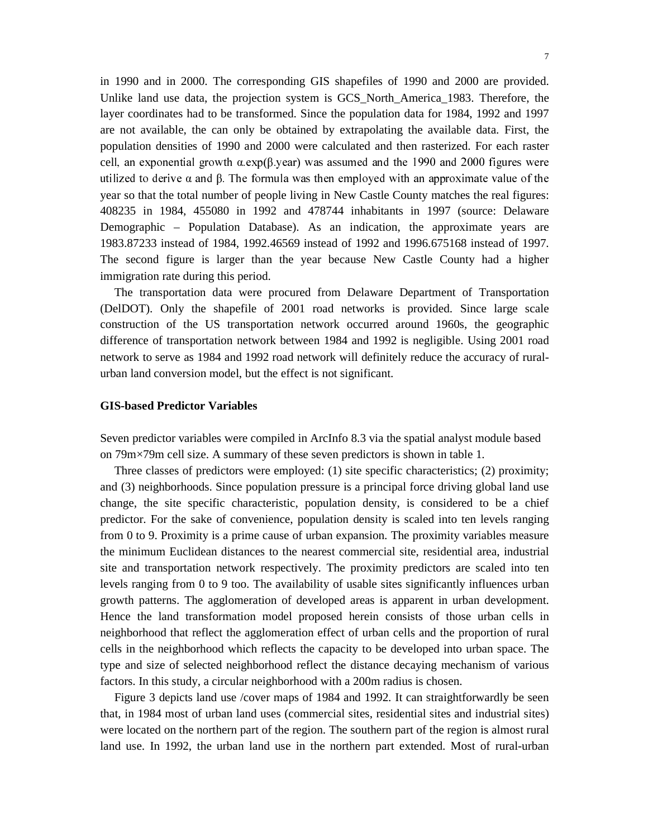in 1990 and in 2000. The corresponding GIS shapefiles of 1990 and 2000 are provided. Unlike land use data, the projection system is GCS\_North\_America\_1983. Therefore, the layer coordinates had to be transformed. Since the population data for 1984, 1992 and 1997 are not available, the can only be obtained by extrapolating the available data. First, the population densities of 1990 and 2000 were calculated and then rasterized. For each raster cell, an exponential growth  $\alpha$ . exp( $\beta$ . year) was assumed and the 1990 and 2000 figures were utilized to derive  $\alpha$  and  $\beta$ . The formula was then employed with an approximate value of the year so that the total number of people living in New Castle County matches the real figures: 408235 in 1984, 455080 in 1992 and 478744 inhabitants in 1997 (source: Delaware Demographic – Population Database). As an indication, the approximate years are 1983.87233 instead of 1984, 1992.46569 instead of 1992 and 1996.675168 instead of 1997. The second figure is larger than the year because New Castle County had a higher immigration rate during this period.

The transportation data were procured from Delaware Department of Transportation (DelDOT). Only the shapefile of 2001 road networks is provided. Since large scale construction of the US transportation network occurred around 1960s, the geographic difference of transportation network between 1984 and 1992 is negligible. Using 2001 road network to serve as 1984 and 1992 road network will definitely reduce the accuracy of ruralurban land conversion model, but the effect is not significant.

#### **GIS-based Predictor Variables**

Seven predictor variables were compiled in ArcInfo 8.3 via the spatial analyst module based on 79m×79m cell size. A summary of these seven predictors is shown in table 1.

Three classes of predictors were employed: (1) site specific characteristics; (2) proximity; and (3) neighborhoods. Since population pressure is a principal force driving global land use change, the site specific characteristic, population density, is considered to be a chief predictor. For the sake of convenience, population density is scaled into ten levels ranging from 0 to 9. Proximity is a prime cause of urban expansion. The proximity variables measure the minimum Euclidean distances to the nearest commercial site, residential area, industrial site and transportation network respectively. The proximity predictors are scaled into ten levels ranging from 0 to 9 too. The availability of usable sites significantly influences urban growth patterns. The agglomeration of developed areas is apparent in urban development. Hence the land transformation model proposed herein consists of those urban cells in neighborhood that reflect the agglomeration effect of urban cells and the proportion of rural cells in the neighborhood which reflects the capacity to be developed into urban space. The type and size of selected neighborhood reflect the distance decaying mechanism of various factors. In this study, a circular neighborhood with a 200m radius is chosen.

Figure 3 depicts land use /cover maps of 1984 and 1992. It can straightforwardly be seen that, in 1984 most of urban land uses (commercial sites, residential sites and industrial sites) were located on the northern part of the region. The southern part of the region is almost rural land use. In 1992, the urban land use in the northern part extended. Most of rural-urban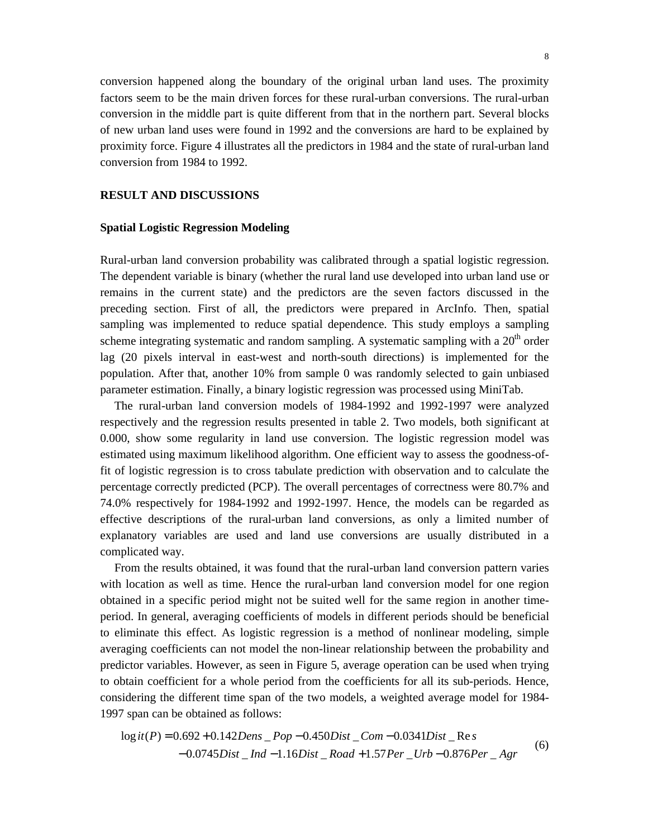conversion happened along the boundary of the original urban land uses. The proximity factors seem to be the main driven forces for these rural-urban conversions. The rural-urban conversion in the middle part is quite different from that in the northern part. Several blocks of new urban land uses were found in 1992 and the conversions are hard to be explained by proximity force. Figure 4 illustrates all the predictors in 1984 and the state of rural-urban land conversion from 1984 to 1992.

## **RESULT AND DISCUSSIONS**

#### **Spatial Logistic Regression Modeling**

Rural-urban land conversion probability was calibrated through a spatial logistic regression. The dependent variable is binary (whether the rural land use developed into urban land use or remains in the current state) and the predictors are the seven factors discussed in the preceding section. First of all, the predictors were prepared in ArcInfo. Then, spatial sampling was implemented to reduce spatial dependence. This study employs a sampling scheme integrating systematic and random sampling. A systematic sampling with a  $20<sup>th</sup>$  order lag (20 pixels interval in east-west and north-south directions) is implemented for the population. After that, another 10% from sample 0 was randomly selected to gain unbiased parameter estimation. Finally, a binary logistic regression was processed using MiniTab.

The rural-urban land conversion models of 1984-1992 and 1992-1997 were analyzed respectively and the regression results presented in table 2. Two models, both significant at 0.000, show some regularity in land use conversion. The logistic regression model was estimated using maximum likelihood algorithm. One efficient way to assess the goodness-offit of logistic regression is to cross tabulate prediction with observation and to calculate the percentage correctly predicted (PCP). The overall percentages of correctness were 80.7% and 74.0% respectively for 1984-1992 and 1992-1997. Hence, the models can be regarded as effective descriptions of the rural-urban land conversions, as only a limited number of explanatory variables are used and land use conversions are usually distributed in a complicated way.

From the results obtained, it was found that the rural-urban land conversion pattern varies with location as well as time. Hence the rural-urban land conversion model for one region obtained in a specific period might not be suited well for the same region in another timeperiod. In general, averaging coefficients of models in different periods should be beneficial to eliminate this effect. As logistic regression is a method of nonlinear modeling, simple averaging coefficients can not model the non-linear relationship between the probability and predictor variables. However, as seen in Figure 5, average operation can be used when trying to obtain coefficient for a whole period from the coefficients for all its sub-periods. Hence, considering the different time span of the two models, a weighted average model for 1984- 1997 span can be obtained as follows:

$$
log it(P) = 0.692 + 0.142Dens \, \_Pop - 0.450Dist \, \_Com - 0.0341Dist \, \_Res
$$

$$
-0.0745Dist \, \_Ind - 1.16Dist \, \_ Road + 1.57Per \, \_Urb - 0.876Per \, \_Agr
$$
 (6)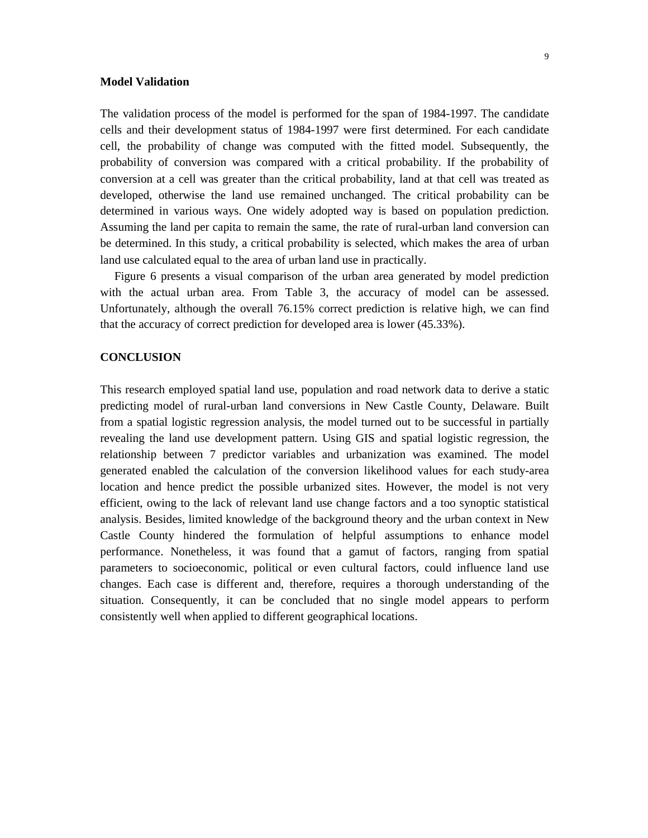## **Model Validation**

The validation process of the model is performed for the span of 1984-1997. The candidate cells and their development status of 1984-1997 were first determined. For each candidate cell, the probability of change was computed with the fitted model. Subsequently, the probability of conversion was compared with a critical probability. If the probability of conversion at a cell was greater than the critical probability, land at that cell was treated as developed, otherwise the land use remained unchanged. The critical probability can be determined in various ways. One widely adopted way is based on population prediction. Assuming the land per capita to remain the same, the rate of rural-urban land conversion can be determined. In this study, a critical probability is selected, which makes the area of urban land use calculated equal to the area of urban land use in practically.

Figure 6 presents a visual comparison of the urban area generated by model prediction with the actual urban area. From Table 3, the accuracy of model can be assessed. Unfortunately, although the overall 76.15% correct prediction is relative high, we can find that the accuracy of correct prediction for developed area is lower (45.33%).

## **CONCLUSION**

This research employed spatial land use, population and road network data to derive a static predicting model of rural-urban land conversions in New Castle County, Delaware. Built from a spatial logistic regression analysis, the model turned out to be successful in partially revealing the land use development pattern. Using GIS and spatial logistic regression, the relationship between 7 predictor variables and urbanization was examined. The model generated enabled the calculation of the conversion likelihood values for each study-area location and hence predict the possible urbanized sites. However, the model is not very efficient, owing to the lack of relevant land use change factors and a too synoptic statistical analysis. Besides, limited knowledge of the background theory and the urban context in New Castle County hindered the formulation of helpful assumptions to enhance model performance. Nonetheless, it was found that a gamut of factors, ranging from spatial parameters to socioeconomic, political or even cultural factors, could influence land use changes. Each case is different and, therefore, requires a thorough understanding of the situation. Consequently, it can be concluded that no single model appears to perform consistently well when applied to different geographical locations.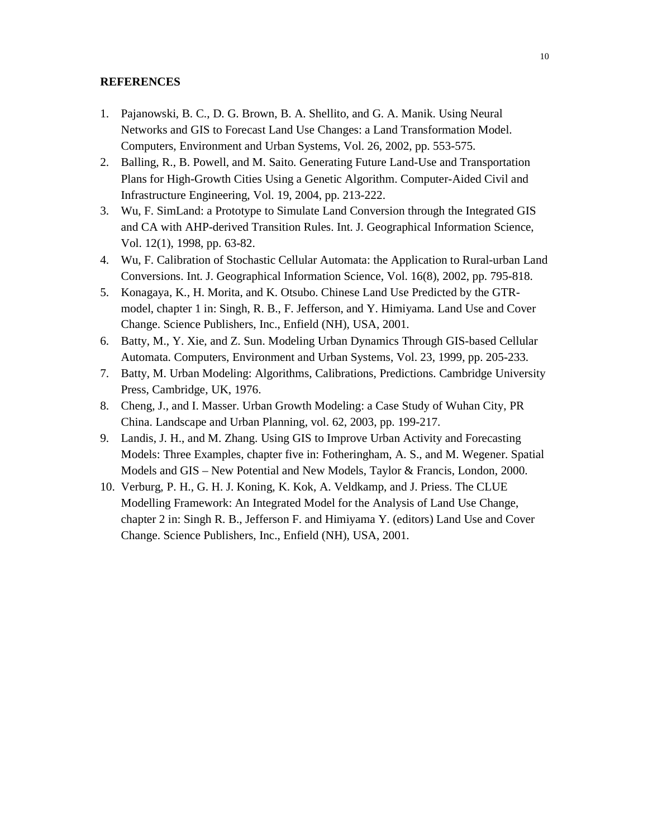## **REFERENCES**

- 1. Pajanowski, B. C., D. G. Brown, B. A. Shellito, and G. A. Manik. Using Neural Networks and GIS to Forecast Land Use Changes: a Land Transformation Model. Computers, Environment and Urban Systems, Vol. 26, 2002, pp. 553-575.
- 2. Balling, R., B. Powell, and M. Saito. Generating Future Land-Use and Transportation Plans for High-Growth Cities Using a Genetic Algorithm. Computer-Aided Civil and Infrastructure Engineering, Vol. 19, 2004, pp. 213-222.
- 3. Wu, F. SimLand: a Prototype to Simulate Land Conversion through the Integrated GIS and CA with AHP-derived Transition Rules. Int. J. Geographical Information Science, Vol. 12(1), 1998, pp. 63-82.
- 4. Wu, F. Calibration of Stochastic Cellular Automata: the Application to Rural-urban Land Conversions. Int. J. Geographical Information Science, Vol. 16(8), 2002, pp. 795-818.
- 5. Konagaya, K., H. Morita, and K. Otsubo. Chinese Land Use Predicted by the GTRmodel, chapter 1 in: Singh, R. B., F. Jefferson, and Y. Himiyama. Land Use and Cover Change. Science Publishers, Inc., Enfield (NH), USA, 2001.
- 6. Batty, M., Y. Xie, and Z. Sun. Modeling Urban Dynamics Through GIS-based Cellular Automata. Computers, Environment and Urban Systems, Vol. 23, 1999, pp. 205-233.
- 7. Batty, M. Urban Modeling: Algorithms, Calibrations, Predictions. Cambridge University Press, Cambridge, UK, 1976.
- 8. Cheng, J., and I. Masser. Urban Growth Modeling: a Case Study of Wuhan City, PR China. Landscape and Urban Planning, vol. 62, 2003, pp. 199-217.
- 9. Landis, J. H., and M. Zhang. Using GIS to Improve Urban Activity and Forecasting Models: Three Examples, chapter five in: Fotheringham, A. S., and M. Wegener. Spatial Models and GIS – New Potential and New Models, Taylor & Francis, London, 2000.
- 10. Verburg, P. H., G. H. J. Koning, K. Kok, A. Veldkamp, and J. Priess. The CLUE Modelling Framework: An Integrated Model for the Analysis of Land Use Change, chapter 2 in: Singh R. B., Jefferson F. and Himiyama Y. (editors) Land Use and Cover Change. Science Publishers, Inc., Enfield (NH), USA, 2001.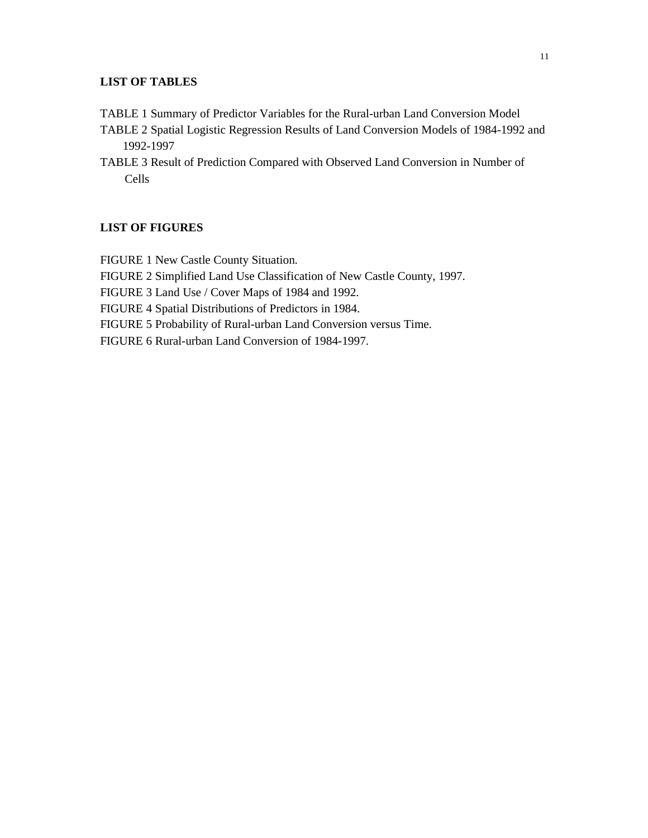# **LIST OF TABLES**

- TABLE 1 Summary of Predictor Variables for the Rural-urban Land Conversion Model
- TABLE 2 Spatial Logistic Regression Results of Land Conversion Models of 1984-1992 and 1992-1997
- TABLE 3 Result of Prediction Compared with Observed Land Conversion in Number of Cells

# **LIST OF FIGURES**

FIGURE 1 New Castle County Situation. FIGURE 2 Simplified Land Use Classification of New Castle County, 1997. FIGURE 3 Land Use / Cover Maps of 1984 and 1992. FIGURE 4 Spatial Distributions of Predictors in 1984. FIGURE 5 Probability of Rural-urban Land Conversion versus Time. FIGURE 6 Rural-urban Land Conversion of 1984-1997.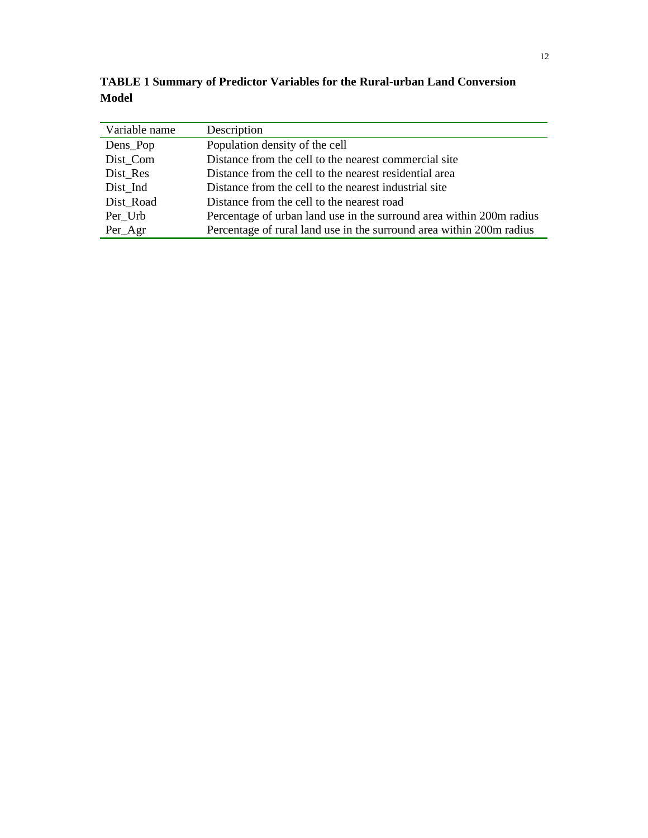**TABLE 1 Summary of Predictor Variables for the Rural-urban Land Conversion Model**

| Variable name | Description                                                          |
|---------------|----------------------------------------------------------------------|
| Dens_Pop      | Population density of the cell                                       |
| Dist Com      | Distance from the cell to the nearest commercial site                |
| Dist Res      | Distance from the cell to the nearest residential area               |
| Dist_Ind      | Distance from the cell to the nearest industrial site                |
| Dist Road     | Distance from the cell to the nearest road                           |
| Per Urb       | Percentage of urban land use in the surround area within 200m radius |
| $Per_Agr$     | Percentage of rural land use in the surround area within 200m radius |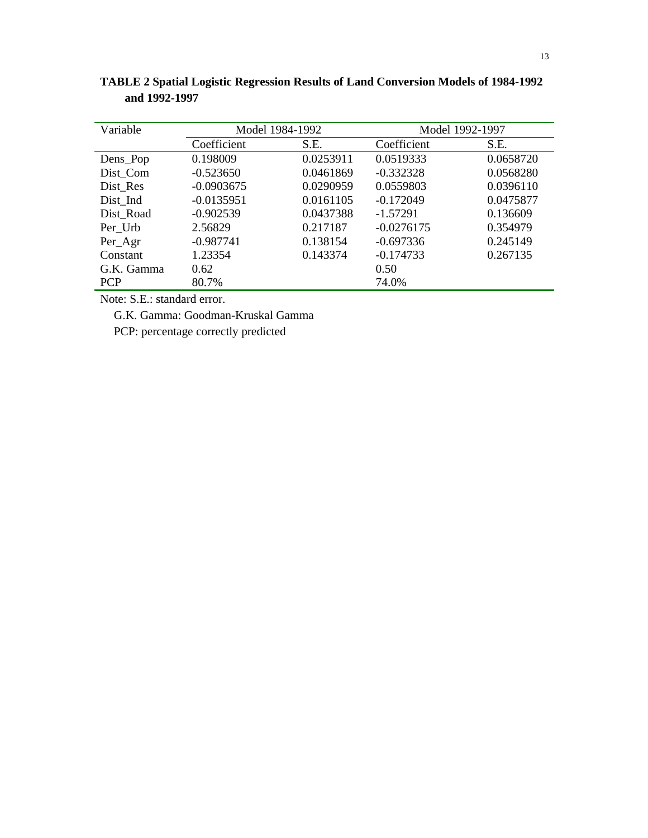| Variable   | Model 1984-1992 |           | Model 1992-1997 |           |
|------------|-----------------|-----------|-----------------|-----------|
|            | Coefficient     | S.E.      | Coefficient     | S.E.      |
| Dens_Pop   | 0.198009        | 0.0253911 | 0.0519333       | 0.0658720 |
| Dist Com   | $-0.523650$     | 0.0461869 | $-0.332328$     | 0.0568280 |
| Dist Res   | $-0.0903675$    | 0.0290959 | 0.0559803       | 0.0396110 |
| Dist Ind   | $-0.0135951$    | 0.0161105 | $-0.172049$     | 0.0475877 |
| Dist Road  | $-0.902539$     | 0.0437388 | $-1.57291$      | 0.136609  |
| Per Urb    | 2.56829         | 0.217187  | $-0.0276175$    | 0.354979  |
| Per_Agr    | $-0.987741$     | 0.138154  | $-0.697336$     | 0.245149  |
| Constant   | 1.23354         | 0.143374  | $-0.174733$     | 0.267135  |
| G.K. Gamma | 0.62            |           | 0.50            |           |
| <b>PCP</b> | 80.7%           |           | 74.0%           |           |

**TABLE 2 Spatial Logistic Regression Results of Land Conversion Models of 1984-1992 and 1992-1997**

Note: S.E.: standard error.

G.K. Gamma: Goodman-Kruskal Gamma

PCP: percentage correctly predicted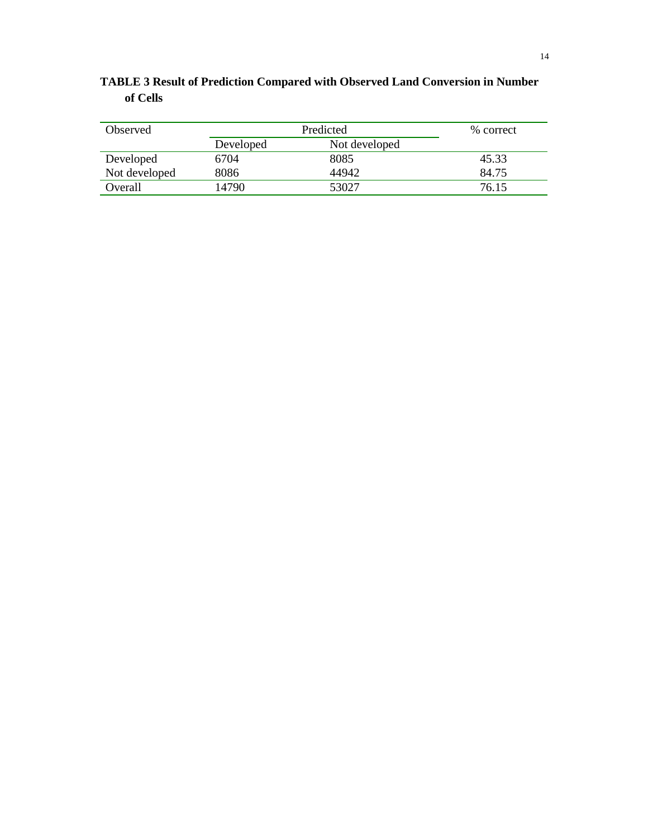# **TABLE 3 Result of Prediction Compared with Observed Land Conversion in Number of Cells**

| Observed      | Predicted |               | % correct |
|---------------|-----------|---------------|-----------|
|               | Developed | Not developed |           |
| Developed     | 6704      | 8085          | 45.33     |
| Not developed | 8086      | 44942         | 84.75     |
| Overall       | 14790     | 53027         | 76.15     |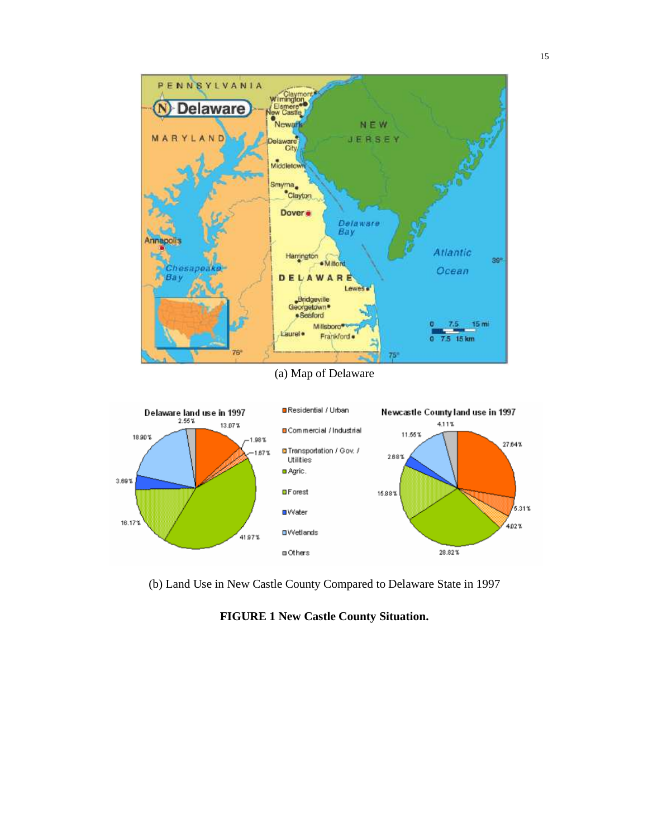

(a) Map of Delaware



(b) Land Use in New Castle County Compared to Delaware State in 1997

# **FIGURE 1 New Castle County Situation.**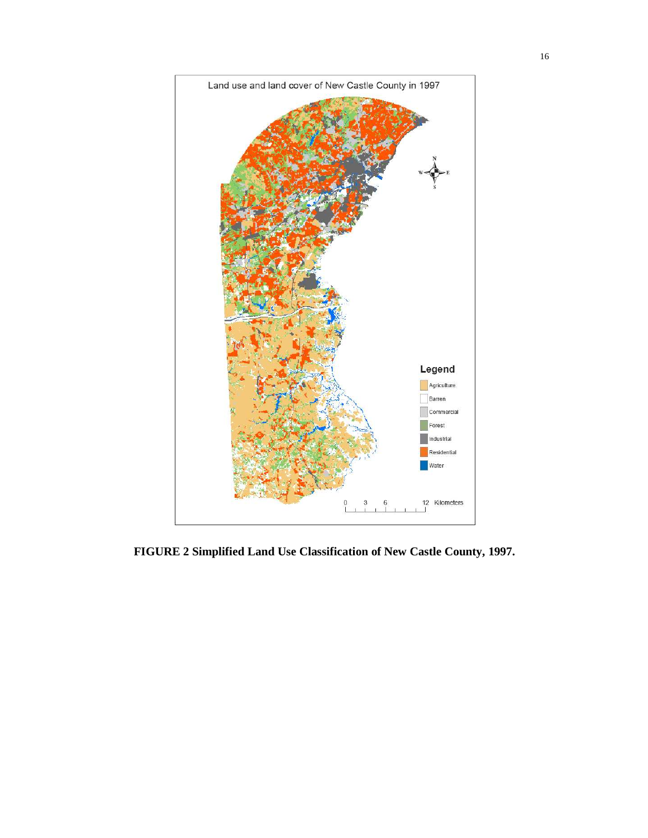

**FIGURE 2 Simplified Land Use Classification of New Castle County, 1997.**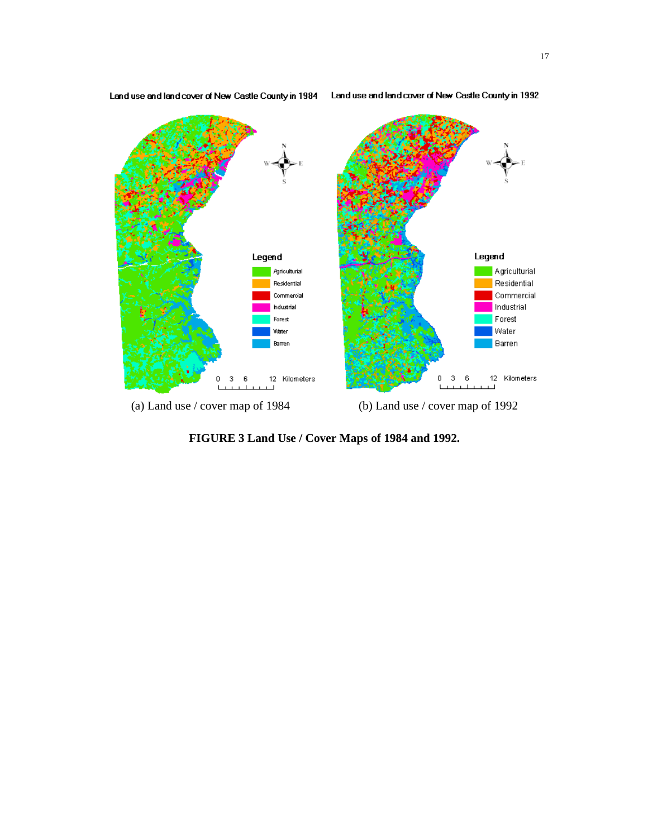

Land use and land cover of New Castle County in 1984 Land use and land cover of New Castle County in 1992

**FIGURE 3 Land Use / Cover Maps of 1984 and 1992.**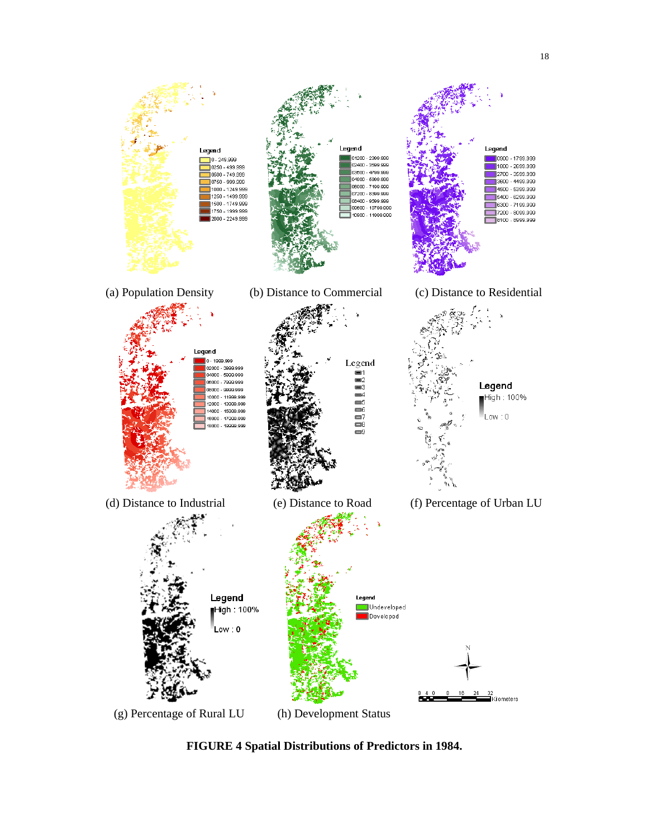

**FIGURE 4 Spatial Distributions of Predictors in 1984.**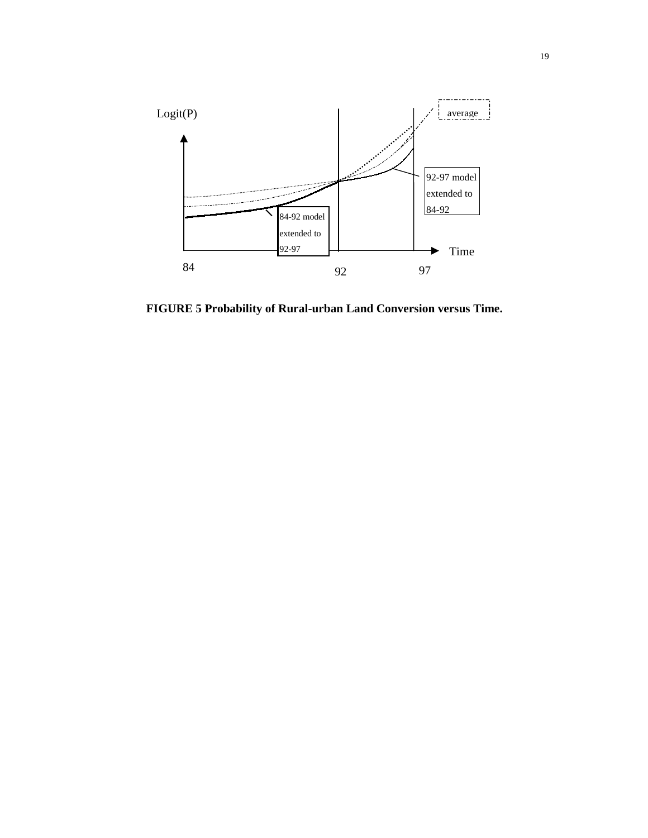

**FIGURE 5 Probability of Rural-urban Land Conversion versus Time.**